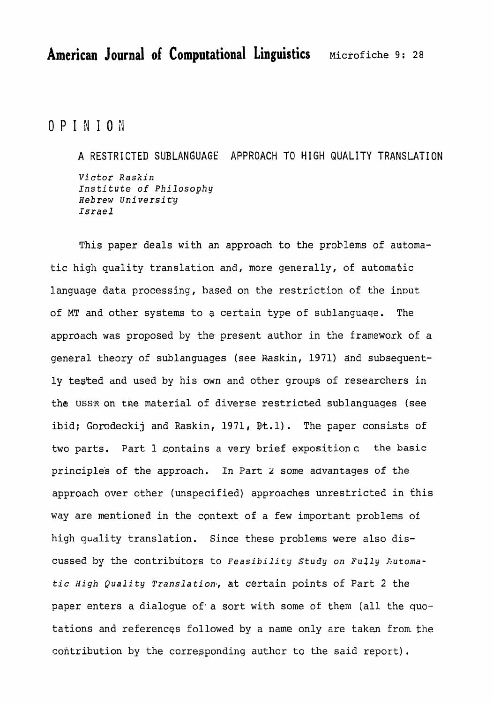OPINION

**A RESTRI** CTED SUBLANGUAGE **APPROACH** TO Y **IGH** QUALITY **TRANSLATION**  *Victor Raskin Institute* **of Philosophy**  Hebrew *Uni* versi t'y **Israel** 

**This paper** deals **with** an approach. to the problems of automatic high quality translation and, more generally, of automatic **language** data processing, based on the restriction of the input of MT and other systems to a certain type of sublanguage. The approach was proposed by the present author in the framework of a general theory of sublanguages (see **Raskin,** 1971) and subsequently **tested** and used **by** his **own** and other groups of researchers in the USSR on **tne, material** of diverse restricted sublanguages (see ibid; Gorodeckij and Raskin,  $1971$ ,  $Pt.1$ ). The paper consists of **two** parts. Part 1,cpntains a very brief expositionc **the basic**  principles of the approach. In Part **z some** advantages of the approach over other (unspecified) approaches unrestricted in this **way** are mentioned in the context of a few important problems of high **quality** translation. **Since** these problems were also **dis**cussed by the contributors to *Feasibility* Study on **Fully Automatic** *High* **Quality** *Translation,* **&t certain** points of Part 2 the paper enters a dialogue of a sort with some of them (all the quotations and references **followed by** a **name** only are taken from-the contribution by the corresponding author to the said report).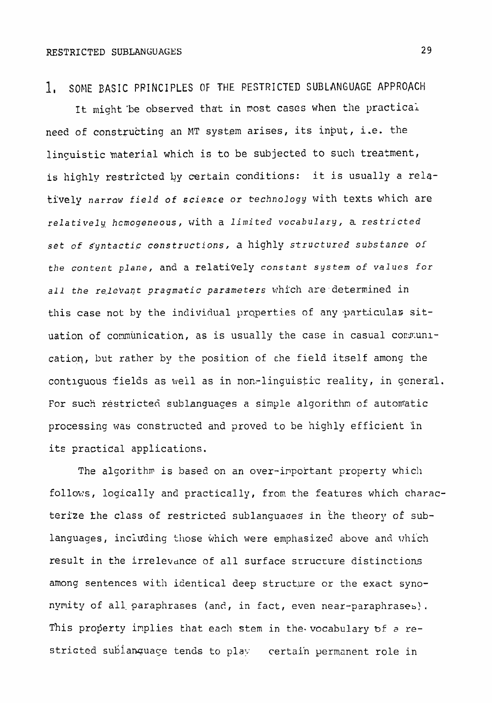1. SOME BASIC PRINCIPLES OF THE **RESTRICTED** SUBLANGUAGE APPROACH

It might be observed that in most cases when the practical neecl of **constructing** an **MT system** arises, **its** input, 1.e. **the lincuistic material which is** to be **subjected** to such treatment, is highly restricted by certain conditions: it is usually a relatively *narrow* **field** of *science or* kechnology with texts which are relatively, **hcmogeneous,** with a limited vocabulary, **a** *restricted*  set of *Byntactic constructions,* a highly **structured** *substance* **of the content plane, and a relatively constant system of** values for all the relevant pragmatic parameters which are determined in this case not by the individual properties of any particular situation of communication, as is usually the case in casual communication, but rather by the position of che field itself among the contiquous fields as weil as in non-linguistic reality, in general. For such restricted sublanguages a simple algorithm of automatic processing was constructed and proved to be highly efficient in its practical applications.

The algorithm is based on an over-important property which follows, logically and practically, from the features which characterize the class of restricted sublanguaaes **in** the theory of sublanguages, including those which were emphasized above and which result in the irrelevdnce of all surface **srructure** distinctions among sentences with identical deep structure or the exact synonymity of all-paraphrases (and, in fact, even **near-paraphrases!.**  This property implies that each stem in the vocabulary of a restricted sublanguage tends to play certain permanent role in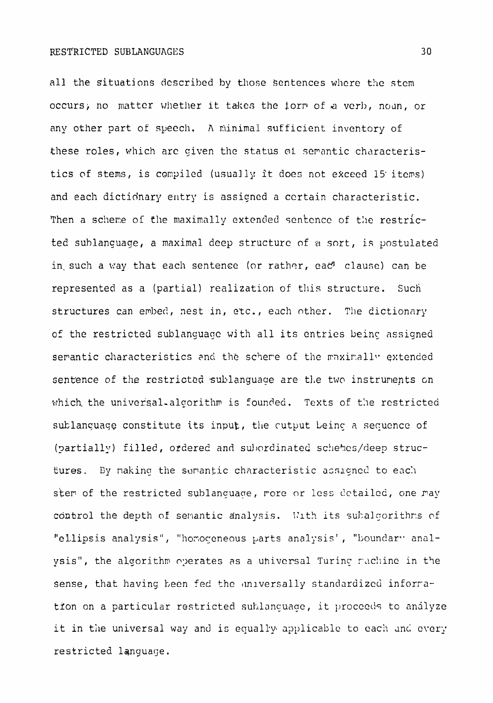all the situations described by those sentences where the stem occurs, no matter whether it takes the iorm of a verb, noun, or any other part of speech. A minimal sufficient inventory of these roles, which arc given the status of semantic characteristics of stems, is compiled (usually it does not exceed 15 items) and each dictidnary entry is assiqncd a ccrtain characteristic. Then a scheme of the maximally extended sentence of the restricted suhlancuage, a maximal deep structure of a sort, **is postulated**  in such a way that each sentence (or rather, ead<sup>9</sup> clause) can be represented as a (partial) **realization** of this structure. Such structures can embed, nest in, etc., each other. The dictionary of the restricted sublanguagc wjth all its entries beinc assigned serantic characteristics and the schere of the maximally extended sentence of the restricted sublanguage are the two instruments on which the universal-algorithm is founded. Texts of the restricted sublanguage constitute its input, the cutput being a sequence of (partially) filled, ordered and subordinated schemes/deep structures. By naking the semantic characteristic assigned to each stem of the restricted sublanguage, more or less detailed, one may control the depth of semantic analysis. With its subalgorithms of "ellipsis analysis", "homogeneous parts analysis', "boundary analysis", the algorithm operates as a uhiversal Turing rachine in the sense, that having been fed the aniversally standardized inforration on a particular restricted sublanguage, it proceeds to analyze it in the universal way and is equally applicable to each and every restricted language.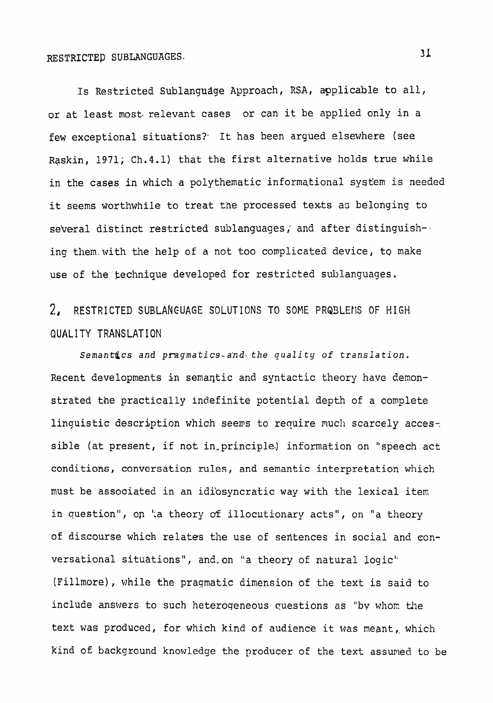## RESTRICTEP SUBLANGUAGES.

**Is** Restricted **Sublangadge** Approach, RSA, **applicable to** all, or at least most relevant cases or can it be applied only in a few exceptional situations?. **It** has been argued **elsewhere** (see **Xaskin, 1971; Ch.4.1)** that the first **alternative** holds true **while**  in the **cases** in which a polythematic **informational** system is needed it seems worthwhile to treat the processed texts as belonging to several distinct **restricted** sublanguages; and after distinguish-, ing them with the help of a not too complicated device, to make **use** of **the** technique **developed** for restricted **sublanguages.** 

## 2, **RESTRICTED** SUBLAkEUAGE SOLUTIONS TO SOME PRQ9LEIiS OF HIGH QUALITY TRANSLATIQN

*Semant&cs and* pragrna tics-a'nd. *the* **quali** ty **of translation.**  Recent developments in semaqtic and syntactic theory have demonstrated the practically indefinite potential depth of a complete linguistic description which **seeps** to require **much** scarcely acces-, sible (at **present,** if not in-principle.) information on "speech act **conditions, conversation** rules, **and semantic interpretation** which must be associated in an idi'osyncratic **way** with the lexical item in question", on 'a theory of illocutionary acts", on "a theory of discourse which **relates** the use of sefitences in social and conversational situations", and.on "a theory of natural logic" (Fillmore), while the pragmatic dimension of the text **is** said **to**  include answers to such heterogeneous questions as "by whom the text **was** produced, for which kind of audience it **was meant,** which kind of background knowledge the producer of the text assumed to be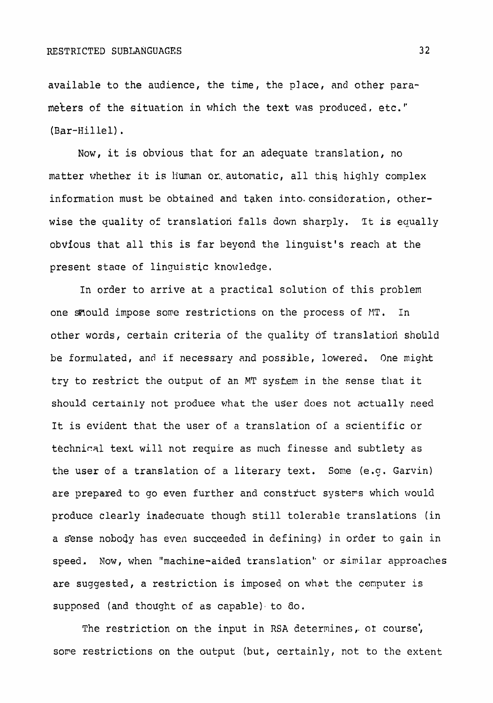**available to** the audience, the time, the place, and other para**meters** of the situation in which the **text was** produced. etc. **I'**  (Bar-Hillel) .

Now, it bs obvious **that** for an **adequate** translation, no matter whether it is human or automatic, all this highly complex information must be **obtained** and taken into.consideration, otherwise the quality of **translation** falls **down** sharp1.y. It **is equally**  obvious that all **this** is far beyond the linguist's reach at the present **staae** of **linquistic** knowledge.

In order to arrive at a practical solution of this problem one smould impose some restrictions on the process of MT. In other words, certain criteria of the quality of translation should **be formulated,** and if necessary and **possible, lowered. One** might try **to** restrict the output **of** an **MT** system in khe **sense** that it should certainly **not produce what the user does** not **actually** need **It** is evident that the **user of a translation of a scientific** or techniml text **will not require as** much **finesse and subtlety as**  the user of a translation of a literary text. Some (e.g. Garvin) are prepared to go even further and construct systems which would produce clearly inadeouate though **still** tolerable translations (in a sense nobody has even succeeded in defining) in order to gain in **speed,. Now, when** "machine-aided translation" or **similar** approaches are suggested, a restriction is imposed on what the **computer is supposed** (and **thought** of **as** capable), to ao.

The restriction on the input in RSA determines, or course, sore **restrictions** on **the** output **(but,** certainly, not to the extent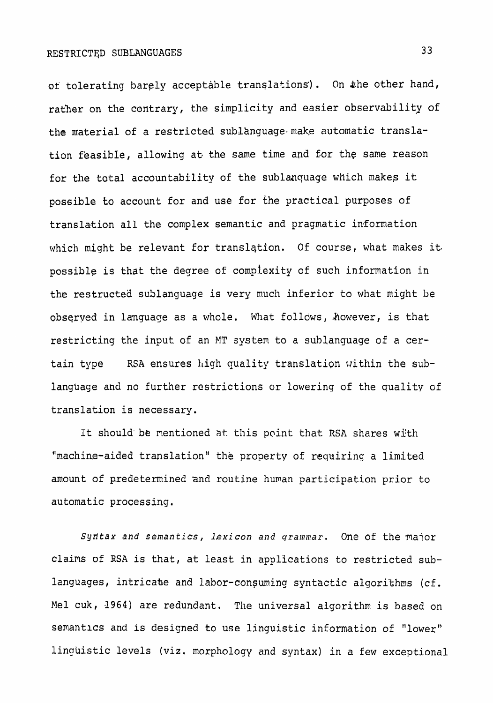of tolerating barely acceptable translations). On the other hand, rather **on the** contrary, the **simplicity and easier observability of**  the material of a restricted sublanguage make automatic translation feasible, **allowing** at\* the **same** time and Cor **the** same reason for the total accountability of the sublanquage which makeg it possible to account **for** and use **for** the practical purposes of **translation all** the **complex semantic and pragmatic** in/fomation **which might** be relevant for **translqtion. Of** course, **what** makes **it. possiblg is that the degree of complexity of such information** in the restructea sublanguage **is very** much **inferior** to **what might be observed in language** as a whole. What follows, However, is that restricting the input of an MT system to a sublanguage of a certain type **RSA ensures** high **quality translation** within the **sublanguage and no further restrictions or lowering of** the quality of **translation is necessary.** 

It should be mentioned at this point that RSA shares with "nachine-aided **translation" the property of** requiring a **limited**  amount **of predetermined** and **routine** huvan **participation prior to automatic processing.** 

Syn'tax **and** *semantics, lexicon* **and grammar. One of the** major **claims** of RSA is that, at least in applications **to restricted sub**languages, intricate and labor-consuming syntactic algorithms (cf. **Me1** cuk, 1964) are redundant. **The universal algorithm is** based **on**  semantics and is desicped to use **linguistic information of "lower'" linnuistic e** levels **(viz. morphology** and **syntax) in a few exceptional**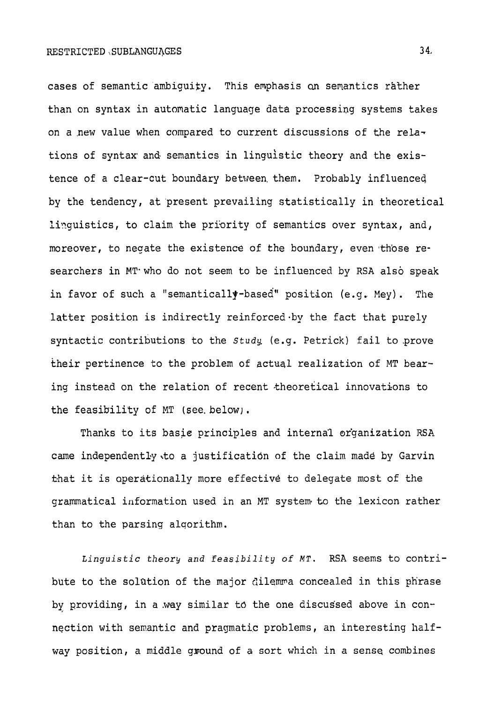cases of semantic'ambiguity. This emphasis **an** semantics rather than on syntax in **automatic** language data processing systems takes on a new value when compared to current discussions of the relations of syntax and semantics in linguistic theory and the existence of a clear-cut boundary between them. Probably influenced by the tendency, at 'present prevailing **statistically** in theoretical linguistics, to claim the priority of semantics over syntax, and, moreover, to negate the existence of the boundary, even those researchers in MT who do not seem to be influenced by RSA also speak in favor of such a "semantically-based" position (e.g. Mey). The latter position is indirectly reinforced by the fact that purely syntactic contributions to the *study* (e.g. Petrick) fail to prove their **pertinence** to the problem of actual realization of MT bearing insteed on the relation of recent theoretical innovations to the feasibility of MT *(see.* **below)** .

Thanks to **its** basie principles **and internal** organization RSA came independently to a justification of the claim made by Garvin khat it is aperationally more effective to delegate most of the grammatical information used in an MT system to the lexicon rather than to the parsing alqorithm.

~inguistic *theor9 and* **feasibility of MT. RSA seems to** contribute to the solution of the major dilemma concealed in this phrase by providing, in a way similar to the one discussed above in connection with semantic and pragmatic problems, an interesting half**way** position, a middle **ground** of a sort which in a sense combines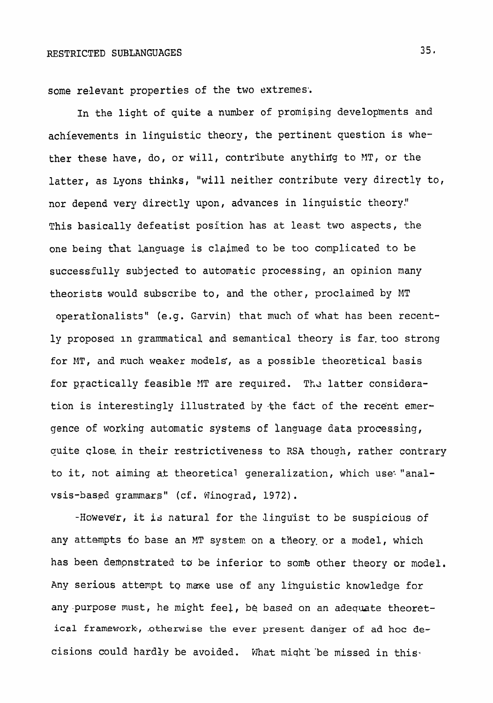some relevant properties of the two extremes.

In the light of quite a number of promising developments and achievements in linguistic theory, the pertinent question is whether these have, do, or will, contribute anything to MT, or the **latter, as** Lyons thinks, **"will neither** contribute very directly to, **nor** depend very direktly upon, **advances** in linguistic theory!' This basically **defeatist** position has at **least two** aspects, the one **being that** Language **is claimed to be too complicated to be successfully** subjected to **autonatic** processing, an opinion **many**  theorists would subscribe to, and the other, proclaimed by MT operationalists" **(e.g. Garvin)** that much **of** what **has been** recently proposed in grammatical and semantical theory is far too strong for **W,** and much weaker models, as a possible **theoretical** basis for practically feasible MT are required. The latter considera**tion** is interestingly illustrated by -the fact of **the** recent emer**gence** of **working** automatic **systems** of lanquage **data** processing, ouite **A** close, in **their** restrictiveness to **RSA** thouqh, rather contrary **to it,** not aiming **at** theoretical generalization, which use: "analvsis-based grammars" (cf. Winograd, 1972).

-However, it is natural for the linguist to be suspicious of any attempts fo **base** an MT systen? on a theory. or a **model,** which has been **dempnstrated** to be inferiar to **some** other theory or model. Any serious attempt to make use of any linguistic knowledge for **any-purpose** must, **he** might feel, be based **on an** adequate **theoretical** framework-, **.otherwise the** ever **present danger of ad** hoc **decisions** could **hardly be** avoided. What niqht 'be missed in **this\*** 

 $35.$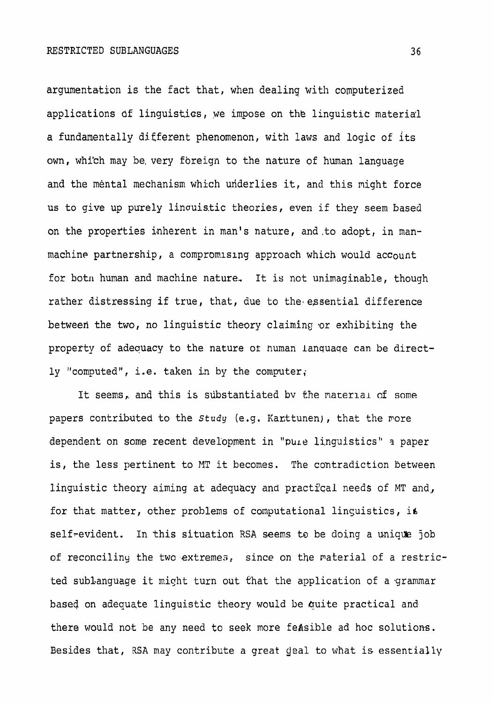argumentation is the fact that, when dealing with computerized applications **6f linguistics, ,we impose on thk linguistic material a fundamentally** different phenomenon, **with** laws and **logic of its own,** whi"ch **may be, very foreign to the nature of human language and the mental** mechanism **which uriderlies it, and this** might force us to give up purely 1inauis.tic theories, even if they seem **based on the properties 'nherent in** man's nature, **and,to** adopt, in **man**machine partnership, a compromising approach which would account for botn human and machine nature. It is not unimaginable, though rather distressing if true, that, due to the essential difference betweed the **two,** no linguistic theory **claiming** .or **exhibiting the**  property of adequacy to the nature or human language can be direct**ly** "computed", **i,e. taken** in by the computer;

It seems,. and **this** is **substantiated bv** the material a£ **some**  papers contributed to the *study* (e.g. Karttunen), that the more dependent on some recent development in "pure linguistics" a paper **is, the less pertinent to** MT **it becomes. The contradiction Between linguistic theory aiming at adequacy and** practfcal needs **of** MT and,, for that matter, other problems of computational linguistics, it **self-evident.** In this situation RSA seems to be doing a unique job **of reconciling the two extremes, since on the paterial of a restric**ted subLanguage **it might turn out Chat the application** of a .grammar based **on** adequate **linguistic** theory would be quite practical and **there would not be any need** to **seek more feasible ad** hoc **solutions. Besides** that, **RSA** may contribute a great deal to what **is essentially** 

36